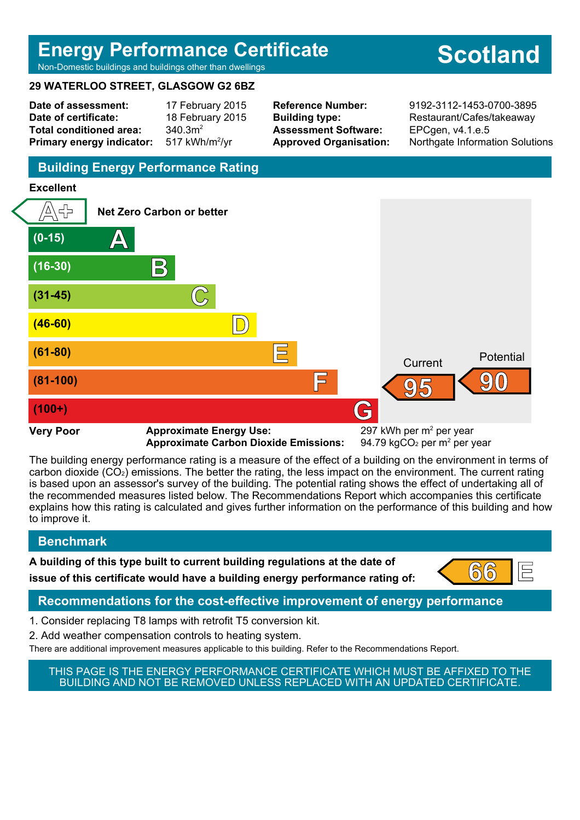# **Energy Performance Certificate**

# **Scotland**

Non-Domestic buildings and buildings other than dwellings

### **29 WATERLOO STREET, GLASGOW G2 6BZ**

**Date of assessment:** 17 February 2015 **Date of certificate:** 18 February 2015 **Total conditioned area:** 340.3m<sup>2</sup> **Primary energy indicator:** 

517 kWh/m<sup>2</sup>/vr

**Assessment Software:** EPCgen, v4.1.e.5

**Reference Number:** 9192-3112-1453-0700-3895 **Building type:** Restaurant/Cafes/takeaway **Approved Organisation:** Northgate Information Solutions

# **Building Energy Performance Rating**

### **Excellent**



**Approximate Carbon Dioxide Emissions:** 

94.79 kgCO<sub>2</sub> per  $m<sup>2</sup>$  per year

The building energy performance rating is a measure of the effect of a building on the environment in terms of carbon dioxide (CO2) emissions. The better the rating, the less impact on the environment. The current rating is based upon an assessor's survey of the building. The potential rating shows the effect of undertaking all of the recommended measures listed below. The Recommendations Report which accompanies this certificate explains how this rating is calculated and gives further information on the performance of this building and how to improve it.

# **Benchmark**

**A building of this type built to current building regulations at the date of**

**issue of this certificate would have a building energy performance rating of:**  $\begin{bmatrix} 66 \\ 1 \end{bmatrix}$ 



# **Recommendations for the cost-effective improvement of energy performance**

- 1. Consider replacing T8 lamps with retrofit T5 conversion kit.
- 2. Add weather compensation controls to heating system.

There are additional improvement measures applicable to this building. Refer to the Recommendations Report.

### THIS PAGE IS THE ENERGY PERFORMANCE CERTIFICATE WHICH MUST BE AFFIXED TO THE BUILDING AND NOT BE REMOVED UNLESS REPLACED WITH AN UPDATED CERTIFICATE.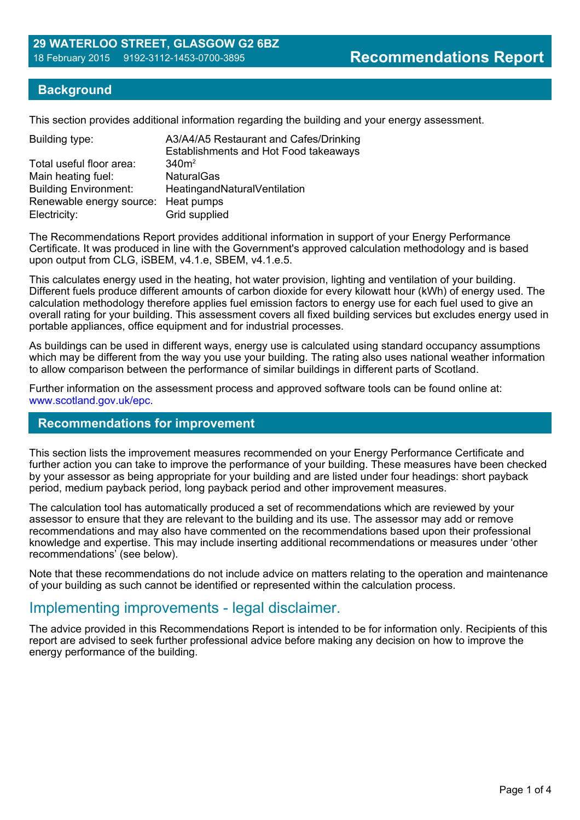### **Background**

This section provides additional information regarding the building and your energy assessment.

| A3/A4/A5 Restaurant and Cafes/Drinking<br>Establishments and Hot Food takeaways |
|---------------------------------------------------------------------------------|
|                                                                                 |
| 340m <sup>2</sup>                                                               |
| <b>NaturalGas</b>                                                               |
| HeatingandNaturalVentilation                                                    |
| Renewable energy source: Heat pumps                                             |
| Grid supplied                                                                   |
|                                                                                 |

The Recommendations Report provides additional information in support of your Energy Performance Certificate. It was produced in line with the Government's approved calculation methodology and is based upon output from CLG, iSBEM, v4.1.e, SBEM, v4.1.e.5.

This calculates energy used in the heating, hot water provision, lighting and ventilation of your building. Different fuels produce different amounts of carbon dioxide for every kilowatt hour (kWh) of energy used. The calculation methodology therefore applies fuel emission factors to energy use for each fuel used to give an overall rating for your building. This assessment covers all fixed building services but excludes energy used in portable appliances, office equipment and for industrial processes.

As buildings can be used in different ways, energy use is calculated using standard occupancy assumptions which may be different from the way you use your building. The rating also uses national weather information to allow comparison between the performance of similar buildings in different parts of Scotland.

Further information on the assessment process and approved software tools can be found online at: www.scotland.gov.uk/epc.

### **Recommendations for improvement**

This section lists the improvement measures recommended on your Energy Performance Certificate and further action you can take to improve the performance of your building. These measures have been checked by your assessor as being appropriate for your building and are listed under four headings: short payback period, medium payback period, long payback period and other improvement measures.

The calculation tool has automatically produced a set of recommendations which are reviewed by your assessor to ensure that they are relevant to the building and its use. The assessor may add or remove recommendations and may also have commented on the recommendations based upon their professional knowledge and expertise. This may include inserting additional recommendations or measures under 'other recommendations' (see below).

Note that these recommendations do not include advice on matters relating to the operation and maintenance of your building as such cannot be identified or represented within the calculation process.

# Implementing improvements - legal disclaimer.

The advice provided in this Recommendations Report is intended to be for information only. Recipients of this report are advised to seek further professional advice before making any decision on how to improve the energy performance of the building.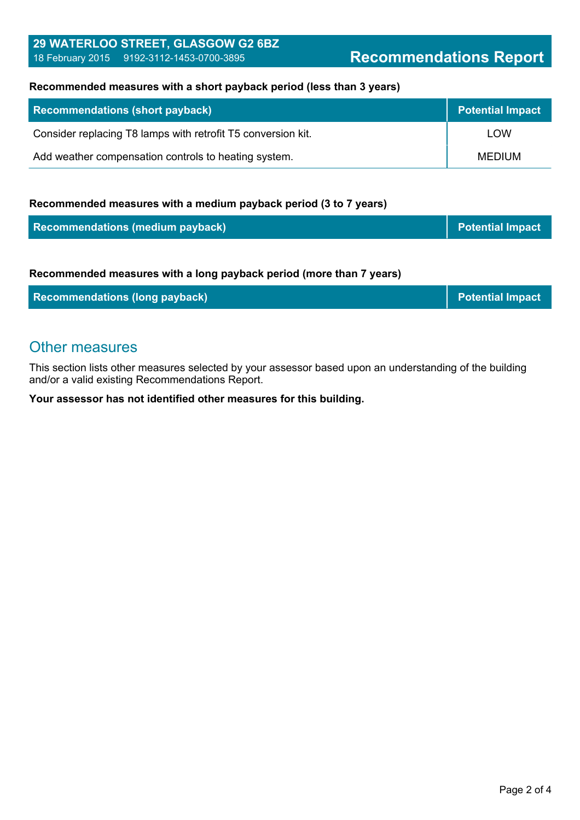### **29 WATERLOO STREET, GLASGOW G2 6BZ** 18 February 2015 9192-3112-1453-0700-3895 **Recommendations Report**

### **Recommended measures with a short payback period (less than 3 years)**

| <b>Recommendations (short payback)</b>                       | <b>Potential Impact</b> |
|--------------------------------------------------------------|-------------------------|
| Consider replacing T8 lamps with retrofit T5 conversion kit. | LOW                     |
| Add weather compensation controls to heating system.         | MEDIUM                  |

### **Recommended measures with a medium payback period (3 to 7 years)**

| <b>Recommendations (medium payback)</b> | Potential Impact |
|-----------------------------------------|------------------|
|                                         |                  |

### **Recommended measures with a long payback period (more than 7 years)**

| <b>Recommendations (long payback)</b> | <b>Potential Impact</b> |
|---------------------------------------|-------------------------|
|---------------------------------------|-------------------------|

# Other measures

This section lists other measures selected by your assessor based upon an understanding of the building and/or a valid existing Recommendations Report.

**Your assessor has not identified other measures for this building.**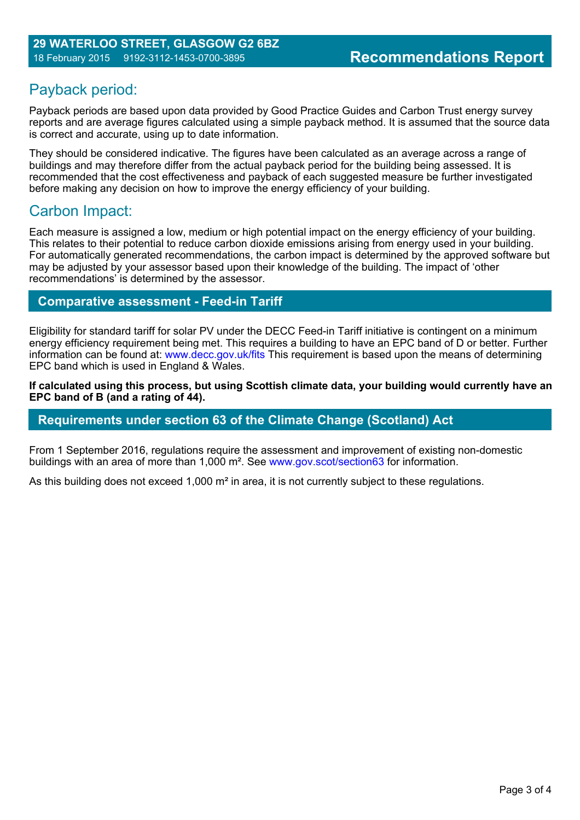# Payback period:

Payback periods are based upon data provided by Good Practice Guides and Carbon Trust energy survey reports and are average figures calculated using a simple payback method. It is assumed that the source data is correct and accurate, using up to date information.

They should be considered indicative. The figures have been calculated as an average across a range of buildings and may therefore differ from the actual payback period for the building being assessed. It is recommended that the cost effectiveness and payback of each suggested measure be further investigated before making any decision on how to improve the energy efficiency of your building.

# Carbon Impact:

Each measure is assigned a low, medium or high potential impact on the energy efficiency of your building. This relates to their potential to reduce carbon dioxide emissions arising from energy used in your building. For automatically generated recommendations, the carbon impact is determined by the approved software but may be adjusted by your assessor based upon their knowledge of the building. The impact of 'other recommendations' is determined by the assessor.

## **Comparative assessment - Feed-in Tariff**

Eligibility for standard tariff for solar PV under the DECC Feed-in Tariff initiative is contingent on a minimum energy efficiency requirement being met. This requires a building to have an EPC band of D or better. Further information can be found at: www.decc.gov.uk/fits This requirement is based upon the means of determining EPC band which is used in England & Wales.

**If calculated using this process, but using Scottish climate data, your building would currently have an EPC band of B (and a rating of 44).**

### **Requirements under section 63 of the Climate Change (Scotland) Act**

From 1 September 2016, regulations require the assessment and improvement of existing non-domestic buildings with an area of more than 1,000 m². See www.gov.scot/section63 for information.

As this building does not exceed 1,000 m<sup>2</sup> in area, it is not currently subject to these regulations.